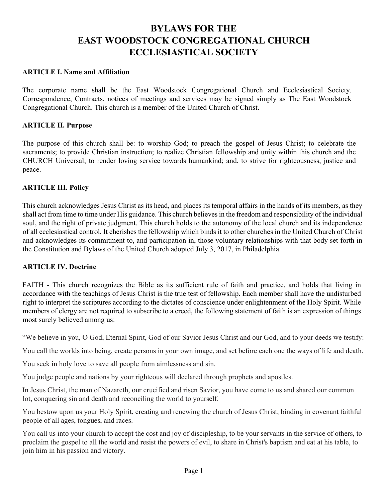# **BYLAWS FOR THE EAST WOODSTOCK CONGREGATIONAL CHURCH ECCLESIASTICAL SOCIETY**

#### **ARTICLE I. Name and Affiliation**

The corporate name shall be the East Woodstock Congregational Church and Ecclesiastical Society. Correspondence, Contracts, notices of meetings and services may be signed simply as The East Woodstock Congregational Church. This church is a member of the United Church of Christ.

#### **ARTICLE II. Purpose**

The purpose of this church shall be: to worship God; to preach the gospel of Jesus Christ; to celebrate the sacraments; to provide Christian instruction; to realize Christian fellowship and unity within this church and the CHURCH Universal; to render loving service towards humankind; and, to strive for righteousness, justice and peace.

#### **ARTICLE III. Policy**

This church acknowledges Jesus Christ as its head, and places its temporal affairs in the hands of its members, as they shall act from time to time under His guidance. This church believes in the freedom and responsibility of the individual soul, and the right of private judgment. This church holds to the autonomy of the local church and its independence of all ecclesiastical control. It cherishes the fellowship which binds it to other churches in the United Church of Christ and acknowledges its commitment to, and participation in, those voluntary relationships with that body set forth in the Constitution and Bylaws of the United Church adopted July 3, 2017, in Philadelphia.

#### **ARTICLE IV. Doctrine**

FAITH - This church recognizes the Bible as its sufficient rule of faith and practice, and holds that living in accordance with the teachings of Jesus Christ is the true test of fellowship. Each member shall have the undisturbed right to interpret the scriptures according to the dictates of conscience under enlightenment of the Holy Spirit. While members of clergy are not required to subscribe to a creed, the following statement of faith is an expression of things most surely believed among us:

"We believe in you, O God, Eternal Spirit, God of our Savior Jesus Christ and our God, and to your deeds we testify:

You call the worlds into being, create persons in your own image, and set before each one the ways of life and death.

You seek in holy love to save all people from aimlessness and sin.

You judge people and nations by your righteous will declared through prophets and apostles.

In Jesus Christ, the man of Nazareth, our crucified and risen Savior, you have come to us and shared our common lot, conquering sin and death and reconciling the world to yourself.

You bestow upon us your Holy Spirit, creating and renewing the church of Jesus Christ, binding in covenant faithful people of all ages, tongues, and races.

You call us into your church to accept the cost and joy of discipleship, to be your servants in the service of others, to proclaim the gospel to all the world and resist the powers of evil, to share in Christ's baptism and eat at his table, to join him in his passion and victory.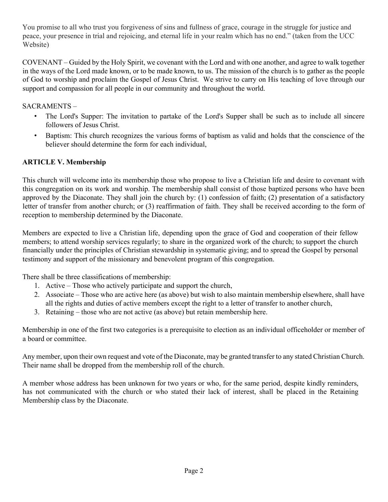You promise to all who trust you forgiveness of sins and fullness of grace, courage in the struggle for justice and peace, your presence in trial and rejoicing, and eternal life in your realm which has no end." (taken from the UCC Website)

COVENANT – Guided by the Holy Spirit, we covenant with the Lord and with one another, and agree to walk together in the ways of the Lord made known, or to be made known, to us. The mission of the church is to gather as the people of God to worship and proclaim the Gospel of Jesus Christ. We strive to carry on His teaching of love through our support and compassion for all people in our community and throughout the world.

## SACRAMENTS –

- The Lord's Supper: The invitation to partake of the Lord's Supper shall be such as to include all sincere followers of Jesus Christ.
- Baptism: This church recognizes the various forms of baptism as valid and holds that the conscience of the believer should determine the form for each individual,

# **ARTICLE V. Membership**

This church will welcome into its membership those who propose to live a Christian life and desire to covenant with this congregation on its work and worship. The membership shall consist of those baptized persons who have been approved by the Diaconate. They shall join the church by: (1) confession of faith; (2) presentation of a satisfactory letter of transfer from another church; or (3) reaffirmation of faith. They shall be received according to the form of reception to membership determined by the Diaconate.

Members are expected to live a Christian life, depending upon the grace of God and cooperation of their fellow members; to attend worship services regularly; to share in the organized work of the church; to support the church financially under the principles of Christian stewardship in systematic giving; and to spread the Gospel by personal testimony and support of the missionary and benevolent program of this congregation.

There shall be three classifications of membership:

- 1. Active Those who actively participate and support the church,
- 2. Associate Those who are active here (as above) but wish to also maintain membership elsewhere, shall have all the rights and duties of active members except the right to a letter of transfer to another church,
- 3. Retaining those who are not active (as above) but retain membership here.

Membership in one of the first two categories is a prerequisite to election as an individual officeholder or member of a board or committee.

Any member, upon their own request and vote of the Diaconate, may be granted transfer to any stated Christian Church. Their name shall be dropped from the membership roll of the church.

A member whose address has been unknown for two years or who, for the same period, despite kindly reminders, has not communicated with the church or who stated their lack of interest, shall be placed in the Retaining Membership class by the Diaconate.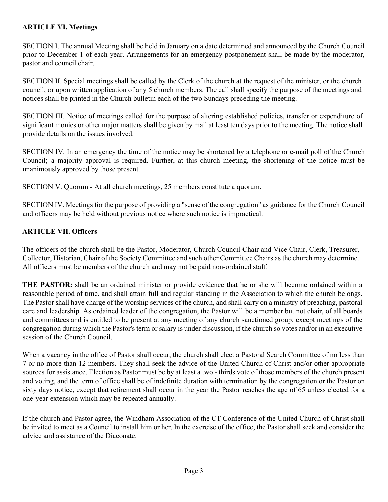## **ARTICLE VI. Meetings**

SECTION I. The annual Meeting shall be held in January on a date determined and announced by the Church Council prior to December 1 of each year. Arrangements for an emergency postponement shall be made by the moderator, pastor and council chair.

SECTION II. Special meetings shall be called by the Clerk of the church at the request of the minister, or the church council, or upon written application of any 5 church members. The call shall specify the purpose of the meetings and notices shall be printed in the Church bulletin each of the two Sundays preceding the meeting.

SECTION III. Notice of meetings called for the purpose of altering established policies, transfer or expenditure of significant monies or other major matters shall be given by mail at least ten days prior to the meeting. The notice shall provide details on the issues involved.

SECTION IV. In an emergency the time of the notice may be shortened by a telephone or e-mail poll of the Church Council; a majority approval is required. Further, at this church meeting, the shortening of the notice must be unanimously approved by those present.

SECTION V. Quorum - At all church meetings, 25 members constitute a quorum.

SECTION IV. Meetings for the purpose of providing a "sense of the congregation" as guidance for the Church Council and officers may be held without previous notice where such notice is impractical.

## **ARTICLE VII. Officers**

The officers of the church shall be the Pastor, Moderator, Church Council Chair and Vice Chair, Clerk, Treasurer, Collector, Historian, Chair of the Society Committee and such other Committee Chairs as the church may determine. All officers must be members of the church and may not be paid non-ordained staff.

**THE PASTOR:** shall be an ordained minister or provide evidence that he or she will become ordained within a reasonable period of time, and shall attain full and regular standing in the Association to which the church belongs. The Pastor shall have charge of the worship services of the church, and shall carry on a ministry of preaching, pastoral care and leadership. As ordained leader of the congregation, the Pastor will be a member but not chair, of all boards and committees and is entitled to be present at any meeting of any church sanctioned group; except meetings of the congregation during which the Pastor's term or salary is under discussion, if the church so votes and/or in an executive session of the Church Council.

When a vacancy in the office of Pastor shall occur, the church shall elect a Pastoral Search Committee of no less than 7 or no more than 12 members. They shall seek the advice of the United Church of Christ and/or other appropriate sources for assistance. Election as Pastor must be by at least a two - thirds vote of those members of the church present and voting, and the term of office shall be of indefinite duration with termination by the congregation or the Pastor on sixty days notice, except that retirement shall occur in the year the Pastor reaches the age of 65 unless elected for a one-year extension which may be repeated annually.

If the church and Pastor agree, the Windham Association of the CT Conference of the United Church of Christ shall be invited to meet as a Council to install him or her. In the exercise of the office, the Pastor shall seek and consider the advice and assistance of the Diaconate.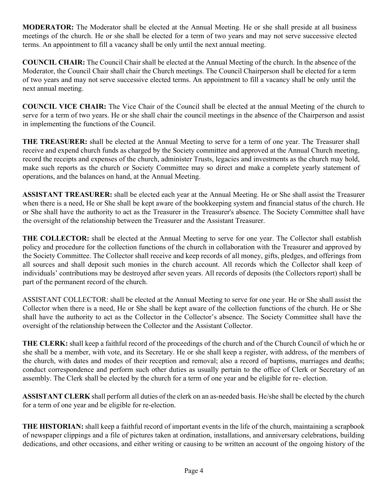**MODERATOR:** The Moderator shall be elected at the Annual Meeting. He or she shall preside at all business meetings of the church. He or she shall be elected for a term of two years and may not serve successive elected terms. An appointment to fill a vacancy shall be only until the next annual meeting.

**COUNCIL CHAIR:** The Council Chair shall be elected at the Annual Meeting of the church. In the absence of the Moderator, the Council Chair shall chair the Church meetings. The Council Chairperson shall be elected for a term of two years and may not serve successive elected terms. An appointment to fill a vacancy shall be only until the next annual meeting.

**COUNCIL VICE CHAIR:** The Vice Chair of the Council shall be elected at the annual Meeting of the church to serve for a term of two years. He or she shall chair the council meetings in the absence of the Chairperson and assist in implementing the functions of the Council.

**THE TREASURER:** shall be elected at the Annual Meeting to serve for a term of one year. The Treasurer shall receive and expend church funds as charged by the Society committee and approved at the Annual Church meeting, record the receipts and expenses of the church, administer Trusts, legacies and investments as the church may hold, make such reports as the church or Society Committee may so direct and make a complete yearly statement of operations, and the balances on hand, at the Annual Meeting.

**ASSISTANT TREASURER:** shall be elected each year at the Annual Meeting. He or She shall assist the Treasurer when there is a need, He or She shall be kept aware of the bookkeeping system and financial status of the church. He or She shall have the authority to act as the Treasurer in the Treasurer's absence. The Society Committee shall have the oversight of the relationship between the Treasurer and the Assistant Treasurer.

**THE COLLECTOR:** shall be elected at the Annual Meeting to serve for one year. The Collector shall establish policy and procedure for the collection functions of the church in collaboration with the Treasurer and approved by the Society Committee. The Collector shall receive and keep records of all money, gifts, pledges, and offerings from all sources and shall deposit such monies in the church account. All records which the Collector shall keep of individuals' contributions may be destroyed after seven years. All records of deposits (the Collectors report) shall be part of the permanent record of the church.

ASSISTANT COLLECTOR: shall be elected at the Annual Meeting to serve for one year. He or She shall assist the Collector when there is a need, He or She shall be kept aware of the collection functions of the church. He or She shall have the authority to act as the Collector in the Collector's absence. The Society Committee shall have the oversight of the relationship between the Collector and the Assistant Collector.

**THE CLERK:** shall keep a faithful record of the proceedings of the church and of the Church Council of which he or she shall be a member, with vote, and its Secretary. He or she shall keep a register, with address, of the members of the church, with dates and modes of their reception and removal; also a record of baptisms, marriages and deaths; conduct correspondence and perform such other duties as usually pertain to the office of Clerk or Secretary of an assembly. The Clerk shall be elected by the church for a term of one year and be eligible for re- election.

**ASSISTANT CLERK** shall perform all duties of the clerk on an as-needed basis. He/she shall be elected by the church for a term of one year and be eligible for re-election.

**THE HISTORIAN:** shall keep a faithful record of important events in the life of the church, maintaining a scrapbook of newspaper clippings and a file of pictures taken at ordination, installations, and anniversary celebrations, building dedications, and other occasions, and either writing or causing to be written an account of the ongoing history of the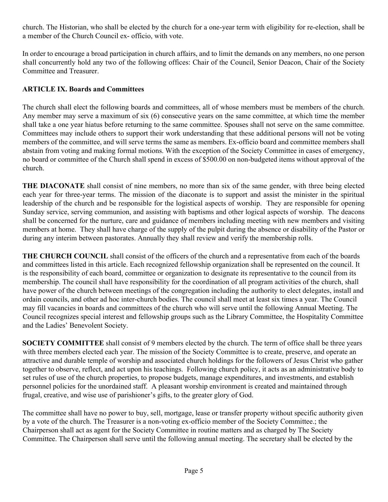church. The Historian, who shall be elected by the church for a one-year term with eligibility for re-election, shall be a member of the Church Council ex- officio, with vote.

In order to encourage a broad participation in church affairs, and to limit the demands on any members, no one person shall concurrently hold any two of the following offices: Chair of the Council, Senior Deacon, Chair of the Society Committee and Treasurer.

## **ARTICLE IX. Boards and Committees**

The church shall elect the following boards and committees, all of whose members must be members of the church. Any member may serve a maximum of six (6) consecutive years on the same committee, at which time the member shall take a one year hiatus before returning to the same committee. Spouses shall not serve on the same committee. Committees may include others to support their work understanding that these additional persons will not be voting members of the committee, and will serve terms the same as members. Ex-officio board and committee members shall abstain from voting and making formal motions. With the exception of the Society Committee in cases of emergency, no board or committee of the Church shall spend in excess of \$500.00 on non-budgeted items without approval of the church.

**THE DIACONATE** shall consist of nine members, no more than six of the same gender, with three being elected each year for three-year terms. The mission of the diaconate is to support and assist the minister in the spiritual leadership of the church and be responsible for the logistical aspects of worship. They are responsible for opening Sunday service, serving communion, and assisting with baptisms and other logical aspects of worship. The deacons shall be concerned for the nurture, care and guidance of members including meeting with new members and visiting members at home.They shall have charge of the supply of the pulpit during the absence or disability of the Pastor or during any interim between pastorates. Annually they shall review and verify the membership rolls.

**THE CHURCH COUNCIL** shall consist of the officers of the church and a representative from each of the boards and committees listed in this article. Each recognized fellowship organization shall be represented on the council. It is the responsibility of each board, committee or organization to designate its representative to the council from its membership. The council shall have responsibility for the coordination of all program activities of the church, shall have power of the church between meetings of the congregation including the authority to elect delegates, install and ordain councils, and other ad hoc inter-church bodies. The council shall meet at least six times a year. The Council may fill vacancies in boards and committees of the church who will serve until the following Annual Meeting. The Council recognizes special interest and fellowship groups such as the Library Committee, the Hospitality Committee and the Ladies' Benevolent Society.

**SOCIETY COMMITTEE** shall consist of 9 members elected by the church. The term of office shall be three years with three members elected each year. The mission of the Society Committee is to create, preserve, and operate an attractive and durable temple of worship and associated church holdings for the followers of Jesus Christ who gather together to observe, reflect, and act upon his teachings. Following church policy, it acts as an administrative body to set rules of use of the church properties, to propose budgets, manage expenditures, and investments, and establish personnel policies for the unordained staff. A pleasant worship environment is created and maintained through frugal, creative, and wise use of parishioner's gifts, to the greater glory of God.

The committee shall have no power to buy, sell, mortgage, lease or transfer property without specific authority given by a vote of the church. The Treasurer is a non-voting ex-officio member of the Society Committee.; the Chairperson shall act as agent for the Society Committee in routine matters and as charged by The Society Committee. The Chairperson shall serve until the following annual meeting. The secretary shall be elected by the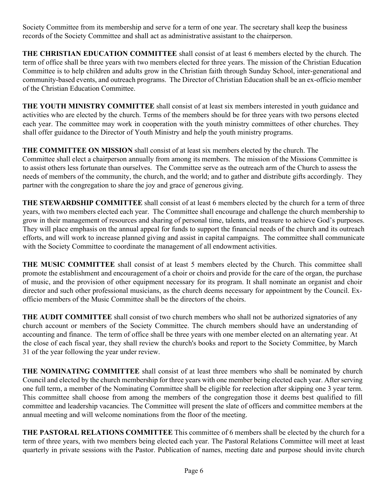Society Committee from its membership and serve for a term of one year. The secretary shall keep the business records of the Society Committee and shall act as administrative assistant to the chairperson.

**THE CHRISTIAN EDUCATION COMMITTEE** shall consist of at least 6 members elected by the church. The term of office shall be three years with two members elected for three years. The mission of the Christian Education Committee is to help children and adults grow in the Christian faith through Sunday School, inter-generational and community-based events, and outreach programs. The Director of Christian Education shall be an ex-officio member of the Christian Education Committee.

**THE YOUTH MINISTRY COMMITTEE** shall consist of at least six members interested in youth guidance and activities who are elected by the church. Terms of the members should be for three years with two persons elected each year. The committee may work in cooperation with the youth ministry committees of other churches. They shall offer guidance to the Director of Youth Ministry and help the youth ministry programs.

# **THE COMMITTEE ON MISSION** shall consist of at least six members elected by the church. The

Committee shall elect a chairperson annually from among its members. The mission of the Missions Committee is to assist others less fortunate than ourselves. The Committee serve as the outreach arm of the Church to assess the needs of members of the community, the church, and the world; and to gather and distribute gifts accordingly. They partner with the congregation to share the joy and grace of generous giving.

**THE STEWARDSHIP COMMITTEE** shall consist of at least 6 members elected by the church for a term of three years, with two members elected each year. The Committee shall encourage and challenge the church membership to grow in their management of resources and sharing of personal time, talents, and treasure to achieve God's purposes. They will place emphasis on the annual appeal for funds to support the financial needs of the church and its outreach efforts, and will work to increase planned giving and assist in capital campaigns. The committee shall communicate with the Society Committee to coordinate the management of all endowment activities.

**THE MUSIC COMMITTEE** shall consist of at least 5 members elected by the Church. This committee shall promote the establishment and encouragement of a choir or choirs and provide for the care of the organ, the purchase of music, and the provision of other equipment necessary for its program. It shall nominate an organist and choir director and such other professional musicians, as the church deems necessary for appointment by the Council. Exofficio members of the Music Committee shall be the directors of the choirs.

**THE AUDIT COMMITTEE** shall consist of two church members who shall not be authorized signatories of any church account or members of the Society Committee. The church members should have an understanding of accounting and finance. The term of office shall be three years with one member elected on an alternating year. At the close of each fiscal year, they shall review the church's books and report to the Society Committee, by March 31 of the year following the year under review.

**THE NOMINATING COMMITTEE** shall consist of at least three members who shall be nominated by church Council and elected by the church membership for three years with one member being elected each year. After serving one full term, a member of the Nominating Committee shall be eligible for reelection after skipping one 3 year term. This committee shall choose from among the members of the congregation those it deems best qualified to fill committee and leadership vacancies. The Committee will present the slate of officers and committee members at the annual meeting and will welcome nominations from the floor of the meeting.

**THE PASTORAL RELATIONS COMMITTEE** This committee of 6 members shall be elected by the church for a term of three years, with two members being elected each year. The Pastoral Relations Committee will meet at least quarterly in private sessions with the Pastor. Publication of names, meeting date and purpose should invite church